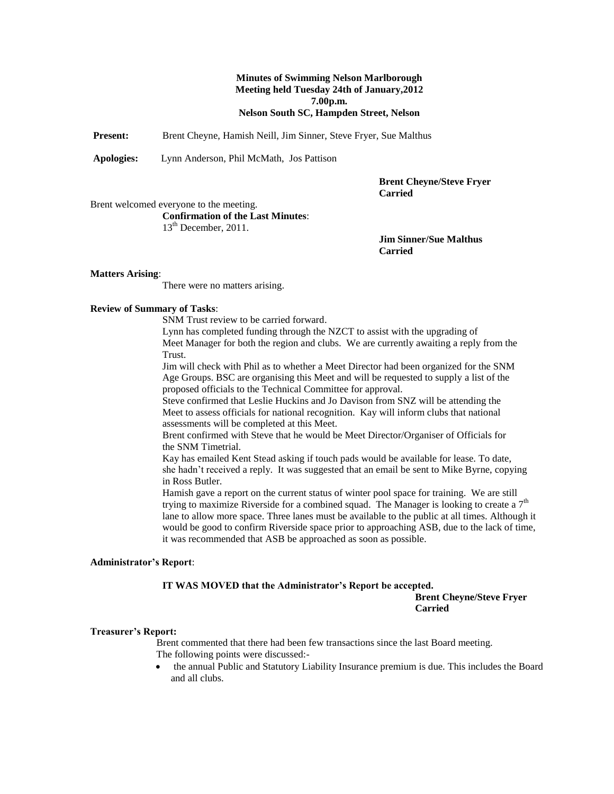### **Minutes of Swimming Nelson Marlborough Meeting held Tuesday 24th of January,2012 7.00p.m. Nelson South SC, Hampden Street, Nelson**

**Present:** Brent Cheyne, Hamish Neill, Jim Sinner, Steve Fryer, Sue Malthus

**Apologies:** Lynn Anderson, Phil McMath, Jos Pattison

**Brent Cheyne/Steve Fryer Carried**

Brent welcomed everyone to the meeting. **Confirmation of the Last Minutes**: 13<sup>th</sup> December, 2011.

> **Jim Sinner/Sue Malthus Carried**

#### **Matters Arising**:

There were no matters arising.

#### **Review of Summary of Tasks**:

SNM Trust review to be carried forward.

Lynn has completed funding through the NZCT to assist with the upgrading of Meet Manager for both the region and clubs. We are currently awaiting a reply from the Trust.

Jim will check with Phil as to whether a Meet Director had been organized for the SNM Age Groups. BSC are organising this Meet and will be requested to supply a list of the proposed officials to the Technical Committee for approval.

Steve confirmed that Leslie Huckins and Jo Davison from SNZ will be attending the Meet to assess officials for national recognition. Kay will inform clubs that national assessments will be completed at this Meet.

Brent confirmed with Steve that he would be Meet Director/Organiser of Officials for the SNM Timetrial.

Kay has emailed Kent Stead asking if touch pads would be available for lease. To date, she hadn't received a reply. It was suggested that an email be sent to Mike Byrne, copying in Ross Butler.

Hamish gave a report on the current status of winter pool space for training. We are still trying to maximize Riverside for a combined squad. The Manager is looking to create a  $7<sup>th</sup>$ lane to allow more space. Three lanes must be available to the public at all times. Although it would be good to confirm Riverside space prior to approaching ASB, due to the lack of time, it was recommended that ASB be approached as soon as possible.

#### **Administrator's Report**:

### **IT WAS MOVED that the Administrator's Report be accepted.**

**Brent Cheyne/Steve Fryer Carried**

#### **Treasurer's Report:**

Brent commented that there had been few transactions since the last Board meeting. The following points were discussed:-

 the annual Public and Statutory Liability Insurance premium is due. This includes the Board and all clubs.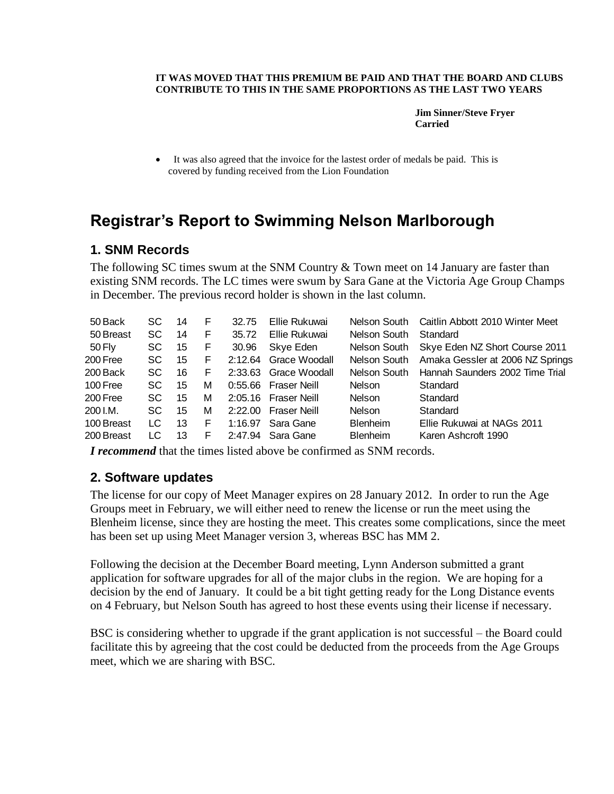### **IT WAS MOVED THAT THIS PREMIUM BE PAID AND THAT THE BOARD AND CLUBS CONTRIBUTE TO THIS IN THE SAME PROPORTIONS AS THE LAST TWO YEARS**

**Jim Sinner/Steve Fryer Carried** 

 It was also agreed that the invoice for the lastest order of medals be paid. This is covered by funding received from the Lion Foundation

# **Registrar's Report to Swimming Nelson Marlborough**

# **1. SNM Records**

The following SC times swum at the SNM Country & Town meet on 14 January are faster than existing SNM records. The LC times were swum by Sara Gane at the Victoria Age Group Champs in December. The previous record holder is shown in the last column.

| 50 Back    | SC  | 14 | F | 32.75   | Ellie Rukuwai       | Nelson South    | Caitlin Abbott 2010 Winter Meet  |
|------------|-----|----|---|---------|---------------------|-----------------|----------------------------------|
| 50 Breast  | SC  | 14 | F | 35.72   | Ellie Rukuwai       | Nelson South    | Standard                         |
| 50 Fly     | SC  | 15 | F | 30.96   | Skye Eden           | Nelson South    | Skye Eden NZ Short Course 2011   |
| 200 Free   | SC. | 15 | F | 2:12.64 | Grace Woodall       | Nelson South    | Amaka Gessler at 2006 NZ Springs |
| 200 Back   | SC. | 16 | F | 2:33.63 | Grace Woodall       | Nelson South    | Hannah Saunders 2002 Time Trial  |
| 100 Free   | SC. | 15 | М | 0:55.66 | <b>Fraser Neill</b> | <b>Nelson</b>   | Standard                         |
| 200 Free   | SC. | 15 | М | 2:05.16 | <b>Fraser Neill</b> | Nelson          | Standard                         |
| 200 I.M.   | SC. | 15 | М | 2:22.00 | <b>Fraser Neill</b> | <b>Nelson</b>   | Standard                         |
| 100 Breast | LC  | 13 | F | 1:16.97 | Sara Gane           | <b>Blenheim</b> | Ellie Rukuwai at NAGs 2011       |
| 200 Breast | LC  | 13 | F | 2:47.94 | Sara Gane           | <b>Blenheim</b> | Karen Ashcroft 1990              |
|            |     |    |   |         |                     |                 |                                  |

*I recommend* that the times listed above be confirmed as SNM records.

# **2. Software updates**

The license for our copy of Meet Manager expires on 28 January 2012. In order to run the Age Groups meet in February, we will either need to renew the license or run the meet using the Blenheim license, since they are hosting the meet. This creates some complications, since the meet has been set up using Meet Manager version 3, whereas BSC has MM 2.

Following the decision at the December Board meeting, Lynn Anderson submitted a grant application for software upgrades for all of the major clubs in the region. We are hoping for a decision by the end of January. It could be a bit tight getting ready for the Long Distance events on 4 February, but Nelson South has agreed to host these events using their license if necessary.

BSC is considering whether to upgrade if the grant application is not successful – the Board could facilitate this by agreeing that the cost could be deducted from the proceeds from the Age Groups meet, which we are sharing with BSC.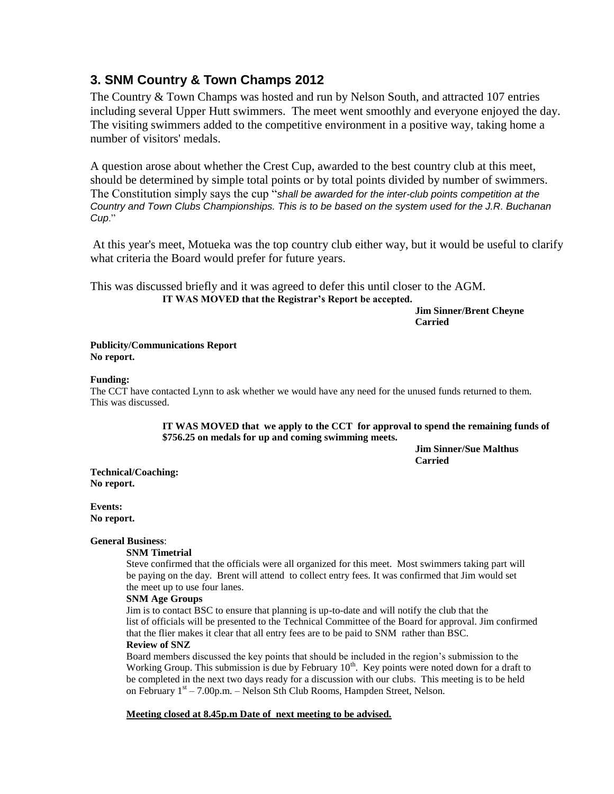# **3. SNM Country & Town Champs 2012**

The Country & Town Champs was hosted and run by Nelson South, and attracted 107 entries including several Upper Hutt swimmers. The meet went smoothly and everyone enjoyed the day. The visiting swimmers added to the competitive environment in a positive way, taking home a number of visitors' medals.

A question arose about whether the Crest Cup, awarded to the best country club at this meet, should be determined by simple total points or by total points divided by number of swimmers. The Constitution simply says the cup "*shall be awarded for the inter-club points competition at the Country and Town Clubs Championships. This is to be based on the system used for the J.R. Buchanan Cup*."

At this year's meet, Motueka was the top country club either way, but it would be useful to clarify what criteria the Board would prefer for future years.

This was discussed briefly and it was agreed to defer this until closer to the AGM. **IT WAS MOVED that the Registrar's Report be accepted.**

> **Jim Sinner/Brent Cheyne Carried**

**Publicity/Communications Report No report.**

### **Funding:**

The CCT have contacted Lynn to ask whether we would have any need for the unused funds returned to them. This was discussed.

> **IT WAS MOVED that we apply to the CCT for approval to spend the remaining funds of \$756.25 on medals for up and coming swimming meets.**

> > **Jim Sinner/Sue Malthus Carried**

**Technical/Coaching: No report.**

**Events: No report.**

### **General Business**:

### **SNM Timetrial**

Steve confirmed that the officials were all organized for this meet. Most swimmers taking part will be paying on the day. Brent will attend to collect entry fees. It was confirmed that Jim would set the meet up to use four lanes.

### **SNM Age Groups**

Jim is to contact BSC to ensure that planning is up-to-date and will notify the club that the list of officials will be presented to the Technical Committee of the Board for approval. Jim confirmed that the flier makes it clear that all entry fees are to be paid to SNM rather than BSC. **Review of SNZ**

Board members discussed the key points that should be included in the region's submission to the Working Group. This submission is due by February 10<sup>th</sup>. Key points were noted down for a draft to be completed in the next two days ready for a discussion with our clubs. This meeting is to be held on February 1<sup>st</sup> – 7.00p.m. – Nelson Sth Club Rooms, Hampden Street, Nelson.

**Meeting closed at 8.45p.m Date of next meeting to be advised.**